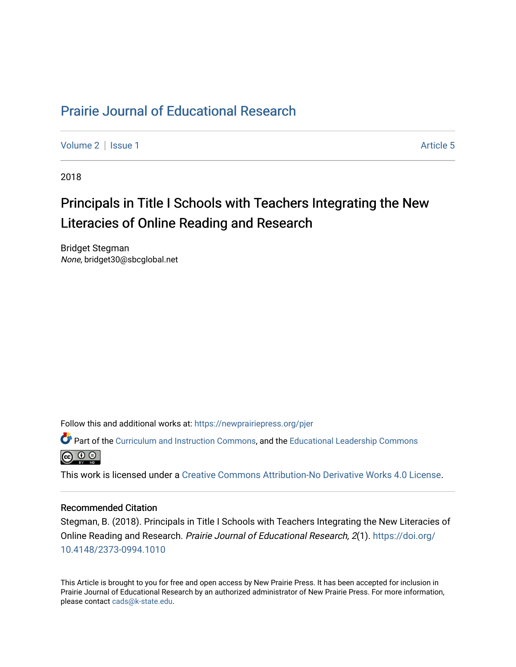# [Prairie Journal of Educational Research](https://newprairiepress.org/pjer)

[Volume 2](https://newprairiepress.org/pjer/vol2) | [Issue 1](https://newprairiepress.org/pjer/vol2/iss1) Article 5

2018

# Principals in Title I Schools with Teachers Integrating the New Literacies of Online Reading and Research

Bridget Stegman None, bridget30@sbcglobal.net

Follow this and additional works at: [https://newprairiepress.org/pjer](https://newprairiepress.org/pjer?utm_source=newprairiepress.org%2Fpjer%2Fvol2%2Fiss1%2F5&utm_medium=PDF&utm_campaign=PDFCoverPages) 

Part of the [Curriculum and Instruction Commons,](http://network.bepress.com/hgg/discipline/786?utm_source=newprairiepress.org%2Fpjer%2Fvol2%2Fiss1%2F5&utm_medium=PDF&utm_campaign=PDFCoverPages) and the [Educational Leadership Commons](http://network.bepress.com/hgg/discipline/1230?utm_source=newprairiepress.org%2Fpjer%2Fvol2%2Fiss1%2F5&utm_medium=PDF&utm_campaign=PDFCoverPages)



This work is licensed under a [Creative Commons Attribution-No Derivative Works 4.0 License.](https://creativecommons.org/licenses/by-nd/4.0/)

#### Recommended Citation

Stegman, B. (2018). Principals in Title I Schools with Teachers Integrating the New Literacies of Online Reading and Research. Prairie Journal of Educational Research, 2(1). [https://doi.org/](https://doi.org/10.4148/2373-0994.1010) [10.4148/2373-0994.1010](https://doi.org/10.4148/2373-0994.1010) 

This Article is brought to you for free and open access by New Prairie Press. It has been accepted for inclusion in Prairie Journal of Educational Research by an authorized administrator of New Prairie Press. For more information, please contact [cads@k-state.edu.](mailto:cads@k-state.edu)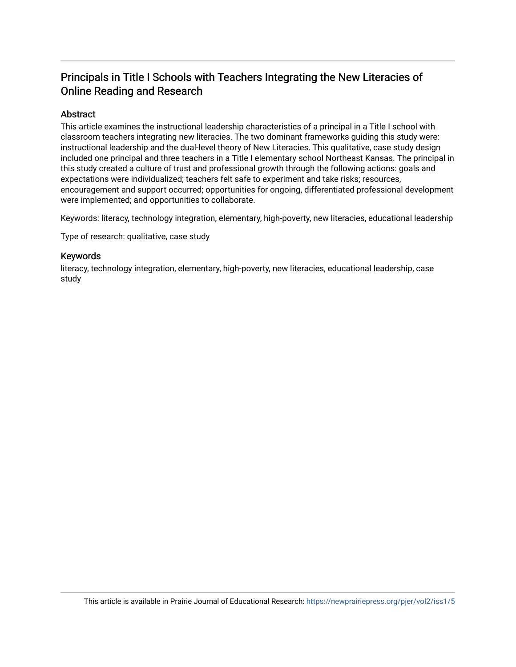# Principals in Title I Schools with Teachers Integrating the New Literacies of Online Reading and Research

# Abstract

This article examines the instructional leadership characteristics of a principal in a Title I school with classroom teachers integrating new literacies. The two dominant frameworks guiding this study were: instructional leadership and the dual-level theory of New Literacies. This qualitative, case study design included one principal and three teachers in a Title I elementary school Northeast Kansas. The principal in this study created a culture of trust and professional growth through the following actions: goals and expectations were individualized; teachers felt safe to experiment and take risks; resources, encouragement and support occurred; opportunities for ongoing, differentiated professional development were implemented; and opportunities to collaborate.

Keywords: literacy, technology integration, elementary, high-poverty, new literacies, educational leadership

Type of research: qualitative, case study

# Keywords

literacy, technology integration, elementary, high-poverty, new literacies, educational leadership, case study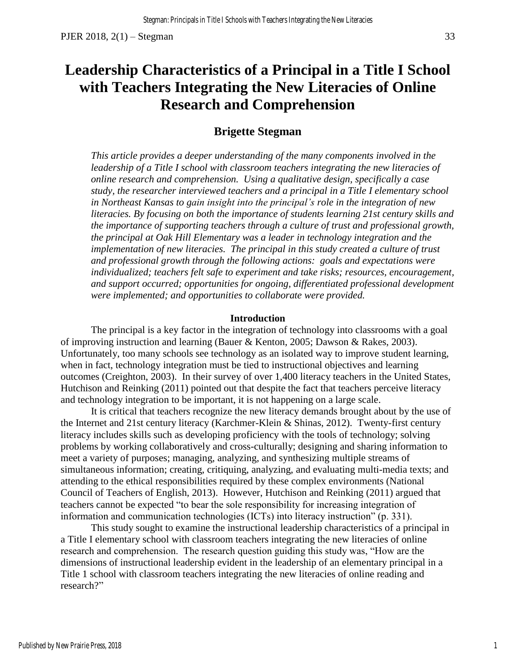# **Leadership Characteristics of a Principal in a Title I School with Teachers Integrating the New Literacies of Online Research and Comprehension**

# **Brigette Stegman**

*This article provides a deeper understanding of the many components involved in the leadership of a Title I school with classroom teachers integrating the new literacies of online research and comprehension. Using a qualitative design, specifically a case study, the researcher interviewed teachers and a principal in a Title I elementary school in Northeast Kansas to gain insight into the principal's role in the integration of new literacies. By focusing on both the importance of students learning 21st century skills and the importance of supporting teachers through a culture of trust and professional growth, the principal at Oak Hill Elementary was a leader in technology integration and the implementation of new literacies. The principal in this study created a culture of trust and professional growth through the following actions: goals and expectations were individualized; teachers felt safe to experiment and take risks; resources, encouragement, and support occurred; opportunities for ongoing, differentiated professional development were implemented; and opportunities to collaborate were provided.* 

### **Introduction**

The principal is a key factor in the integration of technology into classrooms with a goal of improving instruction and learning (Bauer & Kenton, 2005; Dawson & Rakes, 2003). Unfortunately, too many schools see technology as an isolated way to improve student learning, when in fact, technology integration must be tied to instructional objectives and learning outcomes (Creighton, 2003). In their survey of over 1,400 literacy teachers in the United States, Hutchison and Reinking (2011) pointed out that despite the fact that teachers perceive literacy and technology integration to be important, it is not happening on a large scale.

It is critical that teachers recognize the new literacy demands brought about by the use of the Internet and 21st century literacy (Karchmer-Klein & Shinas, 2012). Twenty-first century literacy includes skills such as developing proficiency with the tools of technology; solving problems by working collaboratively and cross-culturally; designing and sharing information to meet a variety of purposes; managing, analyzing, and synthesizing multiple streams of simultaneous information; creating, critiquing, analyzing, and evaluating multi-media texts; and attending to the ethical responsibilities required by these complex environments (National Council of Teachers of English, 2013). However, Hutchison and Reinking (2011) argued that teachers cannot be expected "to bear the sole responsibility for increasing integration of information and communication technologies (ICTs) into literacy instruction" (p. 331).

This study sought to examine the instructional leadership characteristics of a principal in a Title I elementary school with classroom teachers integrating the new literacies of online research and comprehension. The research question guiding this study was, "How are the dimensions of instructional leadership evident in the leadership of an elementary principal in a Title 1 school with classroom teachers integrating the new literacies of online reading and research?"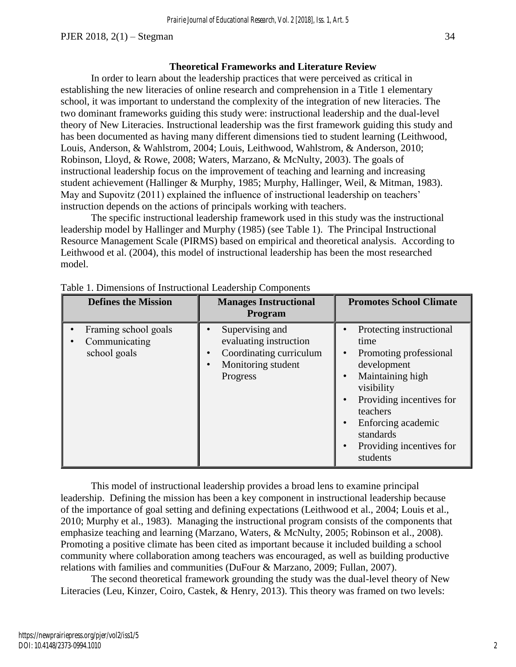In order to learn about the leadership practices that were perceived as critical in establishing the new literacies of online research and comprehension in a Title 1 elementary school, it was important to understand the complexity of the integration of new literacies. The two dominant frameworks guiding this study were: instructional leadership and the dual-level theory of New Literacies. Instructional leadership was the first framework guiding this study and has been documented as having many different dimensions tied to student learning (Leithwood, Louis, Anderson, & Wahlstrom, 2004; Louis, Leithwood, Wahlstrom, & Anderson, 2010; Robinson, Lloyd, & Rowe, 2008; Waters, Marzano, & McNulty, 2003). The goals of instructional leadership focus on the improvement of teaching and learning and increasing student achievement (Hallinger & Murphy, 1985; Murphy, Hallinger, Weil, & Mitman, 1983). May and Supovitz (2011) explained the influence of instructional leadership on teachers' instruction depends on the actions of principals working with teachers.

The specific instructional leadership framework used in this study was the instructional leadership model by Hallinger and Murphy (1985) (see Table 1). The Principal Instructional Resource Management Scale (PIRMS) based on empirical and theoretical analysis. According to Leithwood et al. (2004), this model of instructional leadership has been the most researched model.

| <b>Defines the Mission</b>                            | <b>Manages Instructional</b><br>Program                                                                | <b>Promotes School Climate</b>                                                                                                                                                                                                 |
|-------------------------------------------------------|--------------------------------------------------------------------------------------------------------|--------------------------------------------------------------------------------------------------------------------------------------------------------------------------------------------------------------------------------|
| Framing school goals<br>Communicating<br>school goals | Supervising and<br>evaluating instruction<br>Coordinating curriculum<br>Monitoring student<br>Progress | Protecting instructional<br>time<br>Promoting professional<br>development<br>Maintaining high<br>visibility<br>Providing incentives for<br>teachers<br>Enforcing academic<br>standards<br>Providing incentives for<br>students |

Table 1. Dimensions of Instructional Leadership Components

This model of instructional leadership provides a broad lens to examine principal leadership. Defining the mission has been a key component in instructional leadership because of the importance of goal setting and defining expectations (Leithwood et al., 2004; Louis et al., 2010; Murphy et al., 1983). Managing the instructional program consists of the components that emphasize teaching and learning (Marzano, Waters, & McNulty, 2005; Robinson et al., 2008). Promoting a positive climate has been cited as important because it included building a school community where collaboration among teachers was encouraged, as well as building productive relations with families and communities (DuFour & Marzano, 2009; Fullan, 2007).

The second theoretical framework grounding the study was the dual-level theory of New Literacies (Leu, Kinzer, Coiro, Castek, & Henry, 2013). This theory was framed on two levels: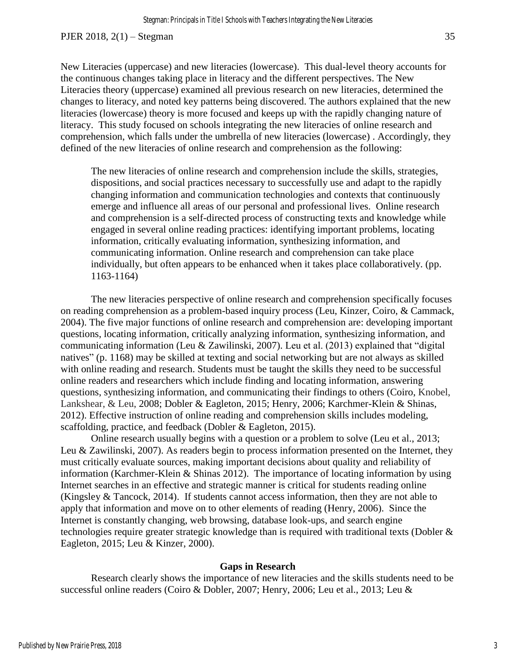New Literacies (uppercase) and new literacies (lowercase). This dual-level theory accounts for the continuous changes taking place in literacy and the different perspectives. The New Literacies theory (uppercase) examined all previous research on new literacies, determined the changes to literacy, and noted key patterns being discovered. The authors explained that the new literacies (lowercase) theory is more focused and keeps up with the rapidly changing nature of literacy. This study focused on schools integrating the new literacies of online research and comprehension, which falls under the umbrella of new literacies (lowercase) . Accordingly, they defined of the new literacies of online research and comprehension as the following:

The new literacies of online research and comprehension include the skills, strategies, dispositions, and social practices necessary to successfully use and adapt to the rapidly changing information and communication technologies and contexts that continuously emerge and influence all areas of our personal and professional lives. Online research and comprehension is a self-directed process of constructing texts and knowledge while engaged in several online reading practices: identifying important problems, locating information, critically evaluating information, synthesizing information, and communicating information. Online research and comprehension can take place individually, but often appears to be enhanced when it takes place collaboratively. (pp. 1163-1164)

The new literacies perspective of online research and comprehension specifically focuses on reading comprehension as a problem-based inquiry process (Leu, Kinzer, Coiro, & Cammack, 2004). The five major functions of online research and comprehension are: developing important questions, locating information, critically analyzing information, synthesizing information, and communicating information (Leu & Zawilinski, 2007). Leu et al. (2013) explained that "digital natives" (p. 1168) may be skilled at texting and social networking but are not always as skilled with online reading and research. Students must be taught the skills they need to be successful online readers and researchers which include finding and locating information, answering questions, synthesizing information, and communicating their findings to others (Coiro, Knobel, Lankshear, & Leu, 2008; Dobler & Eagleton, 2015; Henry, 2006; Karchmer-Klein & Shinas, 2012). Effective instruction of online reading and comprehension skills includes modeling, scaffolding, practice, and feedback (Dobler & Eagleton, 2015).

Online research usually begins with a question or a problem to solve (Leu et al., 2013; Leu & Zawilinski, 2007). As readers begin to process information presented on the Internet, they must critically evaluate sources, making important decisions about quality and reliability of information (Karchmer-Klein & Shinas 2012). The importance of locating information by using Internet searches in an effective and strategic manner is critical for students reading online (Kingsley & Tancock, 2014). If students cannot access information, then they are not able to apply that information and move on to other elements of reading (Henry, 2006). Since the Internet is constantly changing, web browsing, database look-ups, and search engine technologies require greater strategic knowledge than is required with traditional texts (Dobler & Eagleton, 2015; Leu & Kinzer, 2000).

#### **Gaps in Research**

Research clearly shows the importance of new literacies and the skills students need to be successful online readers (Coiro & Dobler, 2007; Henry, 2006; Leu et al., 2013; Leu &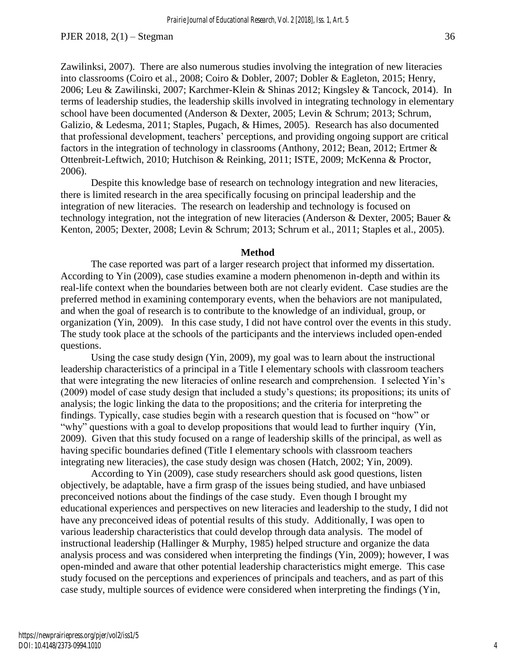Zawilinksi, 2007). There are also numerous studies involving the integration of new literacies into classrooms (Coiro et al., 2008; Coiro & Dobler, 2007; Dobler & Eagleton, 2015; Henry, 2006; Leu & Zawilinski, 2007; Karchmer-Klein & Shinas 2012; Kingsley & Tancock, 2014). In terms of leadership studies, the leadership skills involved in integrating technology in elementary school have been documented (Anderson & Dexter, 2005; Levin & Schrum; 2013; Schrum, Galizio, & Ledesma, 2011; Staples, Pugach, & Himes, 2005). Research has also documented that professional development, teachers' perceptions, and providing ongoing support are critical factors in the integration of technology in classrooms (Anthony, 2012; Bean, 2012; Ertmer & Ottenbreit-Leftwich, 2010; Hutchison & Reinking, 2011; ISTE, 2009; McKenna & Proctor, 2006).

Despite this knowledge base of research on technology integration and new literacies, there is limited research in the area specifically focusing on principal leadership and the integration of new literacies. The research on leadership and technology is focused on technology integration, not the integration of new literacies (Anderson & Dexter, 2005; Bauer & Kenton, 2005; Dexter, 2008; Levin & Schrum; 2013; Schrum et al., 2011; Staples et al., 2005).

#### **Method**

The case reported was part of a larger research project that informed my dissertation. According to Yin (2009), case studies examine a modern phenomenon in-depth and within its real-life context when the boundaries between both are not clearly evident. Case studies are the preferred method in examining contemporary events, when the behaviors are not manipulated, and when the goal of research is to contribute to the knowledge of an individual, group, or organization (Yin, 2009). In this case study, I did not have control over the events in this study. The study took place at the schools of the participants and the interviews included open-ended questions.

Using the case study design (Yin, 2009), my goal was to learn about the instructional leadership characteristics of a principal in a Title I elementary schools with classroom teachers that were integrating the new literacies of online research and comprehension. I selected Yin's (2009) model of case study design that included a study's questions; its propositions; its units of analysis; the logic linking the data to the propositions; and the criteria for interpreting the findings. Typically, case studies begin with a research question that is focused on "how" or "why" questions with a goal to develop propositions that would lead to further inquiry (Yin, 2009). Given that this study focused on a range of leadership skills of the principal, as well as having specific boundaries defined (Title I elementary schools with classroom teachers integrating new literacies), the case study design was chosen (Hatch, 2002; Yin, 2009).

According to Yin (2009), case study researchers should ask good questions, listen objectively, be adaptable, have a firm grasp of the issues being studied, and have unbiased preconceived notions about the findings of the case study. Even though I brought my educational experiences and perspectives on new literacies and leadership to the study, I did not have any preconceived ideas of potential results of this study. Additionally, I was open to various leadership characteristics that could develop through data analysis. The model of instructional leadership (Hallinger & Murphy, 1985) helped structure and organize the data analysis process and was considered when interpreting the findings (Yin, 2009); however, I was open-minded and aware that other potential leadership characteristics might emerge. This case study focused on the perceptions and experiences of principals and teachers, and as part of this case study, multiple sources of evidence were considered when interpreting the findings (Yin,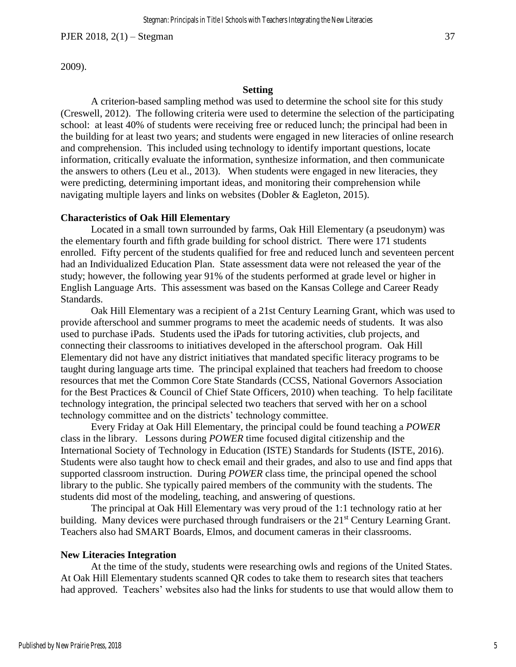2009).

#### **Setting**

A criterion-based sampling method was used to determine the school site for this study (Creswell, 2012). The following criteria were used to determine the selection of the participating school: at least 40% of students were receiving free or reduced lunch; the principal had been in the building for at least two years; and students were engaged in new literacies of online research and comprehension. This included using technology to identify important questions, locate information, critically evaluate the information, synthesize information, and then communicate the answers to others (Leu et al., 2013). When students were engaged in new literacies, they were predicting, determining important ideas, and monitoring their comprehension while navigating multiple layers and links on websites (Dobler & Eagleton, 2015).

#### **Characteristics of Oak Hill Elementary**

Located in a small town surrounded by farms, Oak Hill Elementary (a pseudonym) was the elementary fourth and fifth grade building for school district. There were 171 students enrolled. Fifty percent of the students qualified for free and reduced lunch and seventeen percent had an Individualized Education Plan. State assessment data were not released the year of the study; however, the following year 91% of the students performed at grade level or higher in English Language Arts. This assessment was based on the Kansas College and Career Ready Standards.

Oak Hill Elementary was a recipient of a 21st Century Learning Grant, which was used to provide afterschool and summer programs to meet the academic needs of students. It was also used to purchase iPads. Students used the iPads for tutoring activities, club projects, and connecting their classrooms to initiatives developed in the afterschool program. Oak Hill Elementary did not have any district initiatives that mandated specific literacy programs to be taught during language arts time. The principal explained that teachers had freedom to choose resources that met the Common Core State Standards (CCSS, National Governors Association for the Best Practices & Council of Chief State Officers, 2010) when teaching. To help facilitate technology integration, the principal selected two teachers that served with her on a school technology committee and on the districts' technology committee.

Every Friday at Oak Hill Elementary, the principal could be found teaching a *POWER*  class in the library. Lessons during *POWER* time focused digital citizenship and the International Society of Technology in Education (ISTE) Standards for Students (ISTE, 2016). Students were also taught how to check email and their grades, and also to use and find apps that supported classroom instruction. During *POWER* class time, the principal opened the school library to the public. She typically paired members of the community with the students. The students did most of the modeling, teaching, and answering of questions.

The principal at Oak Hill Elementary was very proud of the 1:1 technology ratio at her building. Many devices were purchased through fundraisers or the 21<sup>st</sup> Century Learning Grant. Teachers also had SMART Boards, Elmos, and document cameras in their classrooms.

#### **New Literacies Integration**

At the time of the study, students were researching owls and regions of the United States. At Oak Hill Elementary students scanned QR codes to take them to research sites that teachers had approved. Teachers' websites also had the links for students to use that would allow them to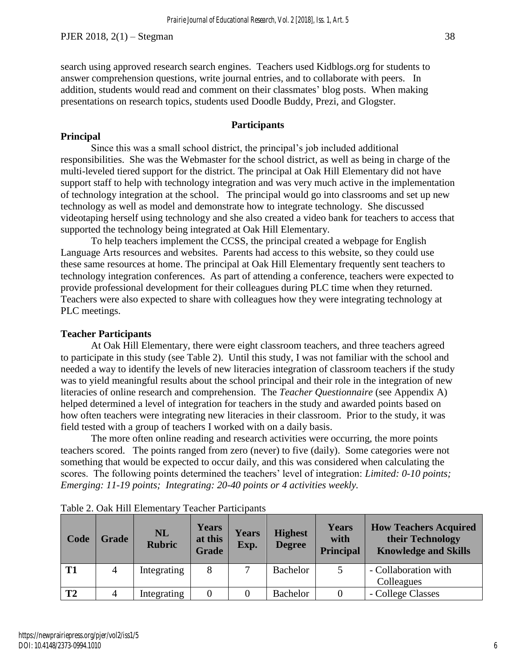# **Participants**

# **Principal**

Since this was a small school district, the principal's job included additional responsibilities. She was the Webmaster for the school district, as well as being in charge of the multi-leveled tiered support for the district. The principal at Oak Hill Elementary did not have support staff to help with technology integration and was very much active in the implementation of technology integration at the school. The principal would go into classrooms and set up new technology as well as model and demonstrate how to integrate technology. She discussed videotaping herself using technology and she also created a video bank for teachers to access that supported the technology being integrated at Oak Hill Elementary.

To help teachers implement the CCSS, the principal created a webpage for English Language Arts resources and websites. Parents had access to this website, so they could use these same resources at home. The principal at Oak Hill Elementary frequently sent teachers to technology integration conferences. As part of attending a conference, teachers were expected to provide professional development for their colleagues during PLC time when they returned. Teachers were also expected to share with colleagues how they were integrating technology at PLC meetings.

# **Teacher Participants**

At Oak Hill Elementary, there were eight classroom teachers, and three teachers agreed to participate in this study (see Table 2). Until this study, I was not familiar with the school and needed a way to identify the levels of new literacies integration of classroom teachers if the study was to yield meaningful results about the school principal and their role in the integration of new literacies of online research and comprehension. The *Teacher Questionnaire* (see Appendix A) helped determined a level of integration for teachers in the study and awarded points based on how often teachers were integrating new literacies in their classroom. Prior to the study, it was field tested with a group of teachers I worked with on a daily basis.

The more often online reading and research activities were occurring, the more points teachers scored. The points ranged from zero (never) to five (daily). Some categories were not something that would be expected to occur daily, and this was considered when calculating the scores. The following points determined the teachers' level of integration: *Limited: 0-10 points; Emerging: 11-19 points; Integrating: 20-40 points or 4 activities weekly.*

| Code           | <b>Grade</b> | <b>NL</b><br><b>Rubric</b> | <b>Years</b><br>at this<br><b>Grade</b> | <b>Years</b><br>Exp. | <b>Highest</b><br><b>Degree</b> | <b>Years</b><br>with<br><b>Principal</b> | <b>How Teachers Acquired</b><br>their Technology<br><b>Knowledge and Skills</b> |  |
|----------------|--------------|----------------------------|-----------------------------------------|----------------------|---------------------------------|------------------------------------------|---------------------------------------------------------------------------------|--|
| T <sub>1</sub> | 4            | Integrating                | 8                                       |                      | Bachelor                        | 5                                        | - Collaboration with                                                            |  |
|                |              |                            |                                         |                      |                                 |                                          | Colleagues                                                                      |  |
| T <sub>2</sub> | 4            | Integrating                |                                         |                      | Bachelor                        |                                          | - College Classes                                                               |  |

Table 2. Oak Hill Elementary Teacher Participants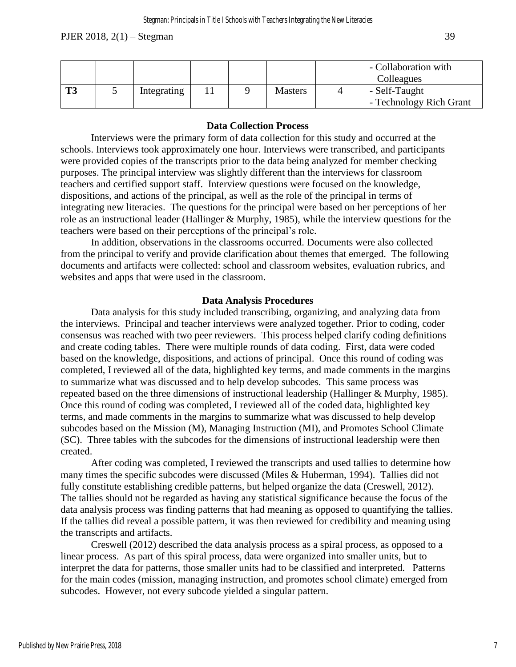|    |             |  |                | - Collaboration with<br>Colleagues |  |  |
|----|-------------|--|----------------|------------------------------------|--|--|
| ТЗ | Integrating |  | <b>Masters</b> | - Self-Taught                      |  |  |
|    |             |  |                | - Technology Rich Grant            |  |  |

# **Data Collection Process**

Interviews were the primary form of data collection for this study and occurred at the schools. Interviews took approximately one hour. Interviews were transcribed, and participants were provided copies of the transcripts prior to the data being analyzed for member checking purposes. The principal interview was slightly different than the interviews for classroom teachers and certified support staff. Interview questions were focused on the knowledge, dispositions, and actions of the principal, as well as the role of the principal in terms of integrating new literacies. The questions for the principal were based on her perceptions of her role as an instructional leader (Hallinger & Murphy, 1985), while the interview questions for the teachers were based on their perceptions of the principal's role.

In addition, observations in the classrooms occurred. Documents were also collected from the principal to verify and provide clarification about themes that emerged. The following documents and artifacts were collected: school and classroom websites, evaluation rubrics, and websites and apps that were used in the classroom.

# **Data Analysis Procedures**

Data analysis for this study included transcribing, organizing, and analyzing data from the interviews. Principal and teacher interviews were analyzed together. Prior to coding, coder consensus was reached with two peer reviewers. This process helped clarify coding definitions and create coding tables. There were multiple rounds of data coding. First, data were coded based on the knowledge, dispositions, and actions of principal. Once this round of coding was completed, I reviewed all of the data, highlighted key terms, and made comments in the margins to summarize what was discussed and to help develop subcodes. This same process was repeated based on the three dimensions of instructional leadership (Hallinger & Murphy, 1985). Once this round of coding was completed, I reviewed all of the coded data, highlighted key terms, and made comments in the margins to summarize what was discussed to help develop subcodes based on the Mission (M), Managing Instruction (MI), and Promotes School Climate (SC). Three tables with the subcodes for the dimensions of instructional leadership were then created.

After coding was completed, I reviewed the transcripts and used tallies to determine how many times the specific subcodes were discussed (Miles & Huberman, 1994). Tallies did not fully constitute establishing credible patterns, but helped organize the data (Creswell, 2012). The tallies should not be regarded as having any statistical significance because the focus of the data analysis process was finding patterns that had meaning as opposed to quantifying the tallies. If the tallies did reveal a possible pattern, it was then reviewed for credibility and meaning using the transcripts and artifacts.

Creswell (2012) described the data analysis process as a spiral process, as opposed to a linear process. As part of this spiral process, data were organized into smaller units, but to interpret the data for patterns, those smaller units had to be classified and interpreted. Patterns for the main codes (mission, managing instruction, and promotes school climate) emerged from subcodes. However, not every subcode yielded a singular pattern.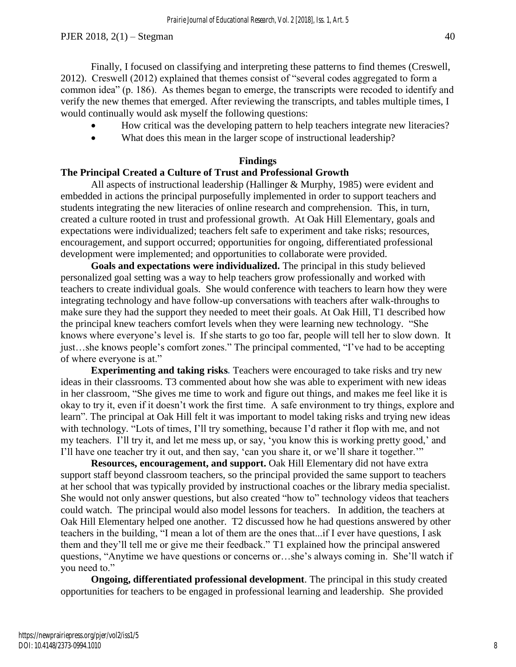Finally, I focused on classifying and interpreting these patterns to find themes (Creswell, 2012). Creswell (2012) explained that themes consist of "several codes aggregated to form a common idea" (p. 186). As themes began to emerge, the transcripts were recoded to identify and verify the new themes that emerged. After reviewing the transcripts, and tables multiple times, I would continually would ask myself the following questions:

- How critical was the developing pattern to help teachers integrate new literacies?
- What does this mean in the larger scope of instructional leadership?

### **Findings**

# **The Principal Created a Culture of Trust and Professional Growth**

All aspects of instructional leadership (Hallinger & Murphy, 1985) were evident and embedded in actions the principal purposefully implemented in order to support teachers and students integrating the new literacies of online research and comprehension. This, in turn, created a culture rooted in trust and professional growth. At Oak Hill Elementary, goals and expectations were individualized; teachers felt safe to experiment and take risks; resources, encouragement, and support occurred; opportunities for ongoing, differentiated professional development were implemented; and opportunities to collaborate were provided.

**Goals and expectations were individualized.** The principal in this study believed personalized goal setting was a way to help teachers grow professionally and worked with teachers to create individual goals. She would conference with teachers to learn how they were integrating technology and have follow-up conversations with teachers after walk-throughs to make sure they had the support they needed to meet their goals. At Oak Hill, T1 described how the principal knew teachers comfort levels when they were learning new technology. "She knows where everyone's level is. If she starts to go too far, people will tell her to slow down. It just…she knows people's comfort zones." The principal commented, "I've had to be accepting of where everyone is at."

**Experimenting and taking risks***.* Teachers were encouraged to take risks and try new ideas in their classrooms. T3 commented about how she was able to experiment with new ideas in her classroom, "She gives me time to work and figure out things, and makes me feel like it is okay to try it, even if it doesn't work the first time. A safe environment to try things, explore and learn". The principal at Oak Hill felt it was important to model taking risks and trying new ideas with technology. "Lots of times, I'll try something, because I'd rather it flop with me, and not my teachers. I'll try it, and let me mess up, or say, 'you know this is working pretty good,' and I'll have one teacher try it out, and then say, 'can you share it, or we'll share it together.'"

**Resources, encouragement, and support.** Oak Hill Elementary did not have extra support staff beyond classroom teachers, so the principal provided the same support to teachers at her school that was typically provided by instructional coaches or the library media specialist. She would not only answer questions, but also created "how to" technology videos that teachers could watch. The principal would also model lessons for teachers. In addition, the teachers at Oak Hill Elementary helped one another. T2 discussed how he had questions answered by other teachers in the building, "I mean a lot of them are the ones that...if I ever have questions, I ask them and they'll tell me or give me their feedback." T1 explained how the principal answered questions, "Anytime we have questions or concerns or…she's always coming in. She'll watch if you need to."

**Ongoing, differentiated professional development**. The principal in this study created opportunities for teachers to be engaged in professional learning and leadership. She provided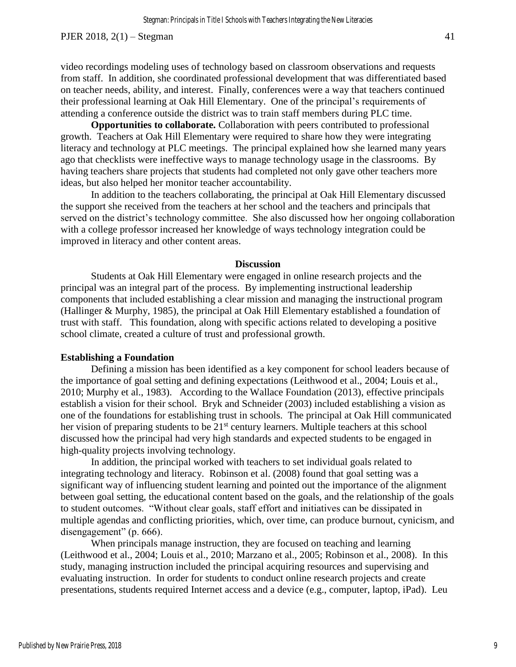video recordings modeling uses of technology based on classroom observations and requests from staff. In addition, she coordinated professional development that was differentiated based on teacher needs, ability, and interest. Finally, conferences were a way that teachers continued their professional learning at Oak Hill Elementary. One of the principal's requirements of attending a conference outside the district was to train staff members during PLC time.

**Opportunities to collaborate.** Collaboration with peers contributed to professional growth. Teachers at Oak Hill Elementary were required to share how they were integrating literacy and technology at PLC meetings. The principal explained how she learned many years ago that checklists were ineffective ways to manage technology usage in the classrooms. By having teachers share projects that students had completed not only gave other teachers more ideas, but also helped her monitor teacher accountability.

In addition to the teachers collaborating, the principal at Oak Hill Elementary discussed the support she received from the teachers at her school and the teachers and principals that served on the district's technology committee. She also discussed how her ongoing collaboration with a college professor increased her knowledge of ways technology integration could be improved in literacy and other content areas.

#### **Discussion**

Students at Oak Hill Elementary were engaged in online research projects and the principal was an integral part of the process. By implementing instructional leadership components that included establishing a clear mission and managing the instructional program (Hallinger & Murphy, 1985), the principal at Oak Hill Elementary established a foundation of trust with staff. This foundation, along with specific actions related to developing a positive school climate, created a culture of trust and professional growth.

#### **Establishing a Foundation**

Defining a mission has been identified as a key component for school leaders because of the importance of goal setting and defining expectations (Leithwood et al., 2004; Louis et al., 2010; Murphy et al., 1983). According to the Wallace Foundation (2013), effective principals establish a vision for their school. Bryk and Schneider (2003) included establishing a vision as one of the foundations for establishing trust in schools. The principal at Oak Hill communicated her vision of preparing students to be 21<sup>st</sup> century learners. Multiple teachers at this school discussed how the principal had very high standards and expected students to be engaged in high-quality projects involving technology.

In addition, the principal worked with teachers to set individual goals related to integrating technology and literacy. Robinson et al. (2008) found that goal setting was a significant way of influencing student learning and pointed out the importance of the alignment between goal setting, the educational content based on the goals, and the relationship of the goals to student outcomes. "Without clear goals, staff effort and initiatives can be dissipated in multiple agendas and conflicting priorities, which, over time, can produce burnout, cynicism, and disengagement" (p. 666).

When principals manage instruction, they are focused on teaching and learning (Leithwood et al., 2004; Louis et al., 2010; Marzano et al., 2005; Robinson et al., 2008). In this study, managing instruction included the principal acquiring resources and supervising and evaluating instruction. In order for students to conduct online research projects and create presentations, students required Internet access and a device (e.g., computer, laptop, iPad). Leu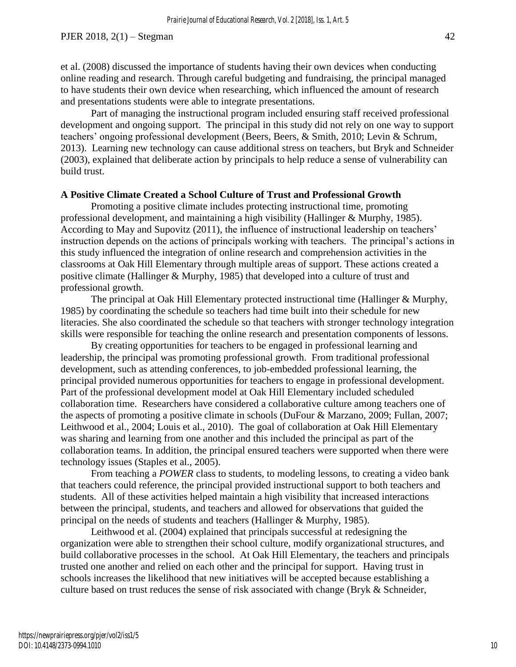et al. (2008) discussed the importance of students having their own devices when conducting online reading and research. Through careful budgeting and fundraising, the principal managed to have students their own device when researching, which influenced the amount of research and presentations students were able to integrate presentations.

Part of managing the instructional program included ensuring staff received professional development and ongoing support. The principal in this study did not rely on one way to support teachers' ongoing professional development (Beers, Beers, & Smith, 2010; Levin & Schrum, 2013). Learning new technology can cause additional stress on teachers, but Bryk and Schneider (2003), explained that deliberate action by principals to help reduce a sense of vulnerability can build trust.

# **A Positive Climate Created a School Culture of Trust and Professional Growth**

Promoting a positive climate includes protecting instructional time, promoting professional development, and maintaining a high visibility (Hallinger & Murphy, 1985). According to May and Supovitz (2011), the influence of instructional leadership on teachers' instruction depends on the actions of principals working with teachers. The principal's actions in this study influenced the integration of online research and comprehension activities in the classrooms at Oak Hill Elementary through multiple areas of support. These actions created a positive climate (Hallinger & Murphy, 1985) that developed into a culture of trust and professional growth.

The principal at Oak Hill Elementary protected instructional time (Hallinger & Murphy, 1985) by coordinating the schedule so teachers had time built into their schedule for new literacies. She also coordinated the schedule so that teachers with stronger technology integration skills were responsible for teaching the online research and presentation components of lessons.

By creating opportunities for teachers to be engaged in professional learning and leadership, the principal was promoting professional growth. From traditional professional development, such as attending conferences, to job-embedded professional learning, the principal provided numerous opportunities for teachers to engage in professional development. Part of the professional development model at Oak Hill Elementary included scheduled collaboration time. Researchers have considered a collaborative culture among teachers one of the aspects of promoting a positive climate in schools (DuFour & Marzano, 2009; Fullan, 2007; Leithwood et al., 2004; Louis et al., 2010). The goal of collaboration at Oak Hill Elementary was sharing and learning from one another and this included the principal as part of the collaboration teams. In addition, the principal ensured teachers were supported when there were technology issues (Staples et al., 2005).

From teaching a *POWER* class to students, to modeling lessons, to creating a video bank that teachers could reference, the principal provided instructional support to both teachers and students. All of these activities helped maintain a high visibility that increased interactions between the principal, students, and teachers and allowed for observations that guided the principal on the needs of students and teachers (Hallinger & Murphy, 1985).

Leithwood et al. (2004) explained that principals successful at redesigning the organization were able to strengthen their school culture, modify organizational structures, and build collaborative processes in the school. At Oak Hill Elementary, the teachers and principals trusted one another and relied on each other and the principal for support. Having trust in schools increases the likelihood that new initiatives will be accepted because establishing a culture based on trust reduces the sense of risk associated with change (Bryk & Schneider,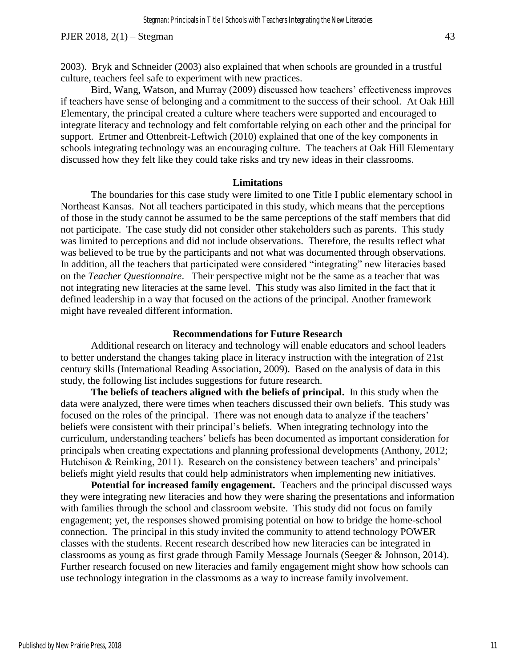2003). Bryk and Schneider (2003) also explained that when schools are grounded in a trustful culture, teachers feel safe to experiment with new practices.

Bird, Wang, Watson, and Murray (2009) discussed how teachers' effectiveness improves if teachers have sense of belonging and a commitment to the success of their school. At Oak Hill Elementary, the principal created a culture where teachers were supported and encouraged to integrate literacy and technology and felt comfortable relying on each other and the principal for support. Ertmer and Ottenbreit-Leftwich (2010) explained that one of the key components in schools integrating technology was an encouraging culture. The teachers at Oak Hill Elementary discussed how they felt like they could take risks and try new ideas in their classrooms.

#### **Limitations**

The boundaries for this case study were limited to one Title I public elementary school in Northeast Kansas. Not all teachers participated in this study, which means that the perceptions of those in the study cannot be assumed to be the same perceptions of the staff members that did not participate. The case study did not consider other stakeholders such as parents. This study was limited to perceptions and did not include observations. Therefore, the results reflect what was believed to be true by the participants and not what was documented through observations. In addition, all the teachers that participated were considered "integrating" new literacies based on the *Teacher Questionnaire*. Their perspective might not be the same as a teacher that was not integrating new literacies at the same level. This study was also limited in the fact that it defined leadership in a way that focused on the actions of the principal. Another framework might have revealed different information.

#### **Recommendations for Future Research**

Additional research on literacy and technology will enable educators and school leaders to better understand the changes taking place in literacy instruction with the integration of 21st century skills (International Reading Association, 2009). Based on the analysis of data in this study, the following list includes suggestions for future research.

**The beliefs of teachers aligned with the beliefs of principal.** In this study when the data were analyzed, there were times when teachers discussed their own beliefs. This study was focused on the roles of the principal. There was not enough data to analyze if the teachers' beliefs were consistent with their principal's beliefs. When integrating technology into the curriculum, understanding teachers' beliefs has been documented as important consideration for principals when creating expectations and planning professional developments (Anthony, 2012; Hutchison & Reinking, 2011). Research on the consistency between teachers' and principals' beliefs might yield results that could help administrators when implementing new initiatives.

**Potential for increased family engagement.** Teachers and the principal discussed ways they were integrating new literacies and how they were sharing the presentations and information with families through the school and classroom website. This study did not focus on family engagement; yet, the responses showed promising potential on how to bridge the home-school connection. The principal in this study invited the community to attend technology POWER classes with the students. Recent research described how new literacies can be integrated in classrooms as young as first grade through Family Message Journals (Seeger & Johnson, 2014). Further research focused on new literacies and family engagement might show how schools can use technology integration in the classrooms as a way to increase family involvement.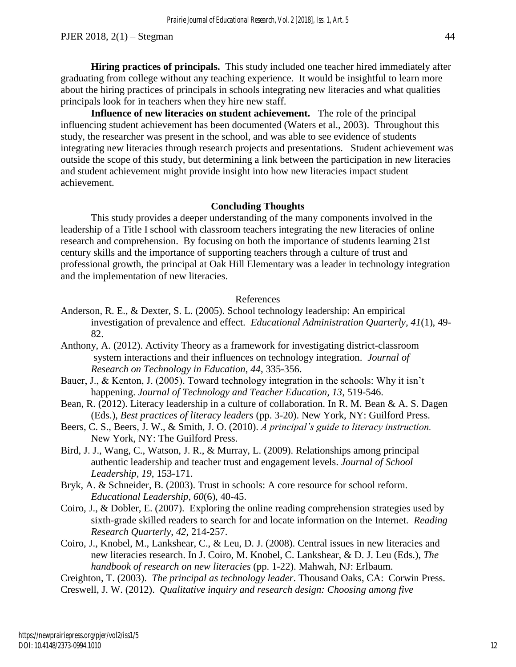**Hiring practices of principals.** This study included one teacher hired immediately after graduating from college without any teaching experience. It would be insightful to learn more about the hiring practices of principals in schools integrating new literacies and what qualities principals look for in teachers when they hire new staff.

**Influence of new literacies on student achievement.** The role of the principal influencing student achievement has been documented (Waters et al., 2003). Throughout this study, the researcher was present in the school, and was able to see evidence of students integrating new literacies through research projects and presentations. Student achievement was outside the scope of this study, but determining a link between the participation in new literacies and student achievement might provide insight into how new literacies impact student achievement.

# **Concluding Thoughts**

This study provides a deeper understanding of the many components involved in the leadership of a Title I school with classroom teachers integrating the new literacies of online research and comprehension. By focusing on both the importance of students learning 21st century skills and the importance of supporting teachers through a culture of trust and professional growth, the principal at Oak Hill Elementary was a leader in technology integration and the implementation of new literacies.

#### References

- Anderson, R. E., & Dexter, S. L. (2005). School technology leadership: An empirical investigation of prevalence and effect. *Educational Administration Quarterly, 41*(1), 49- 82.
- Anthony, A. (2012). Activity Theory as a framework for investigating district-classroom system interactions and their influences on technology integration. *Journal of Research on Technology in Education*, *44*, 335-356.
- Bauer, J., & Kenton, J. (2005). Toward technology integration in the schools: Why it isn't happening. *Journal of Technology and Teacher Education, 13*, 519-546.
- Bean, R. (2012). Literacy leadership in a culture of collaboration. In R. M. Bean & A. S. Dagen (Eds.), *Best practices of literacy leaders* (pp. 3-20). New York, NY: Guilford Press.
- Beers, C. S., Beers, J. W., & Smith, J. O. (2010). *A principal's guide to literacy instruction.*  New York, NY: The Guilford Press.
- Bird, J. J., Wang, C., Watson, J. R., & Murray, L. (2009). Relationships among principal authentic leadership and teacher trust and engagement levels. *Journal of School Leadership, 19*, 153-171.
- Bryk, A. & Schneider, B. (2003). Trust in schools: A core resource for school reform. *Educational Leadership, 60*(6), 40-45.
- Coiro, J., & Dobler, E. (2007). Exploring the online reading comprehension strategies used by sixth-grade skilled readers to search for and locate information on the Internet. *Reading Research Quarterly*, *42*, 214-257.
- Coiro, J., Knobel, M., Lankshear, C., & Leu, D. J. (2008). Central issues in new literacies and new literacies research. In J. Coiro, M. Knobel, C. Lankshear, & D. J. Leu (Eds.), *The handbook of research on new literacies* (pp. 1-22). Mahwah, NJ: Erlbaum.

Creighton, T. (2003). *The principal as technology leader*. Thousand Oaks, CA: Corwin Press. Creswell, J. W. (2012). *Qualitative inquiry and research design: Choosing among five*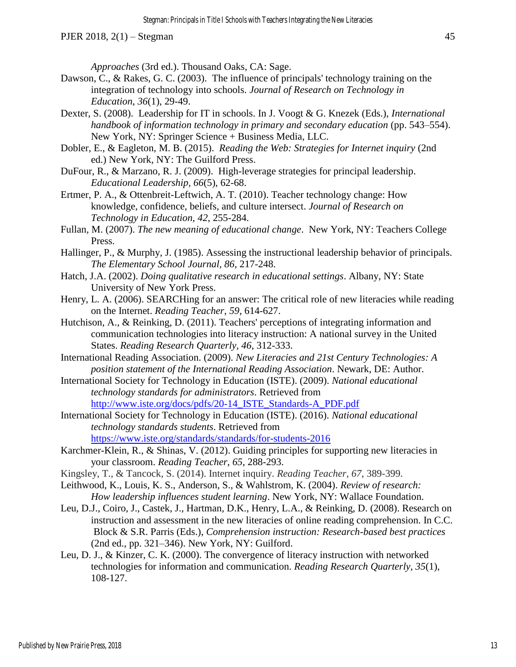*Approaches* (3rd ed.). Thousand Oaks, CA: Sage.

- Dawson, C., & Rakes, G. C. (2003). The influence of principals' technology training on the integration of technology into schools. *Journal of Research on Technology in Education*, *36*(1), 29-49.
- Dexter, S. (2008). Leadership for IT in schools. In J. Voogt & G. Knezek (Eds.), *International handbook of information technology in primary and secondary education* (pp. 543–554). New York, NY: Springer Science + Business Media, LLC.
- Dobler, E., & Eagleton, M. B. (2015). *Reading the Web: Strategies for Internet inquiry* (2nd ed.) New York, NY: The Guilford Press.
- DuFour, R., & Marzano, R. J. (2009). High-leverage strategies for principal leadership. *Educational Leadership, 66*(5), 62-68.
- Ertmer, P. A., & Ottenbreit-Leftwich, A. T. (2010). Teacher technology change: How knowledge, confidence, beliefs, and culture intersect. *Journal of Research on Technology in Education, 42*, 255-284.
- Fullan, M. (2007). *The new meaning of educational change*. New York, NY: Teachers College Press.
- Hallinger, P., & Murphy, J. (1985). Assessing the instructional leadership behavior of principals. *The Elementary School Journal, 86*, 217-248.
- Hatch, J.A. (2002). *Doing qualitative research in educational settings*. Albany, NY: State University of New York Press.
- Henry, L. A. (2006). SEARCHing for an answer: The critical role of new literacies while reading on the Internet. *Reading Teacher*, *59*, 614-627.
- Hutchison, A., & Reinking, D. (2011). Teachers' perceptions of integrating information and communication technologies into literacy instruction: A national survey in the United States. *Reading Research Quarterly, 46*, 312-333.
- International Reading Association. (2009). *New Literacies and 21st Century Technologies: A position statement of the International Reading Association*. Newark, DE: Author.
- International Society for Technology in Education (ISTE). (2009). *National educational technology standards for administrators*. Retrieved from [http://www.iste.org/docs/pdfs/20-14\\_ISTE\\_Standards-A\\_PDF.pdf](http://www.iste.org/docs/pdfs/20-14_ISTE_Standards-A_PDF.pdf)
- International Society for Technology in Education (ISTE). (2016). *National educational technology standards students*. Retrieved from https://www.iste.org/standards/standards/for-students-2016
- Karchmer-Klein, R., & Shinas, V. (2012). Guiding principles for supporting new literacies in your classroom. *Reading Teacher*, *65*, 288-293.
- Kingsley, T., & Tancock, S. (2014). Internet inquiry. *Reading Teacher*, *67*, 389-399.
- Leithwood, K., Louis, K. S., Anderson, S., & Wahlstrom, K. (2004). *Review of research: How leadership influences student learning*. New York, NY: Wallace Foundation.
- Leu, D.J., Coiro, J., Castek, J., Hartman, D.K., Henry, L.A., & Reinking, D. (2008). Research on instruction and assessment in the new literacies of online reading comprehension. In C.C. Block & S.R. Parris (Eds.), *Comprehension instruction: Research-based best practices*  (2nd ed., pp. 321–346). New York, NY: Guilford.
- Leu, D. J., & Kinzer, C. K. (2000). The convergence of literacy instruction with networked technologies for information and communication. *Reading Research Quarterly, 35*(1), 108-127.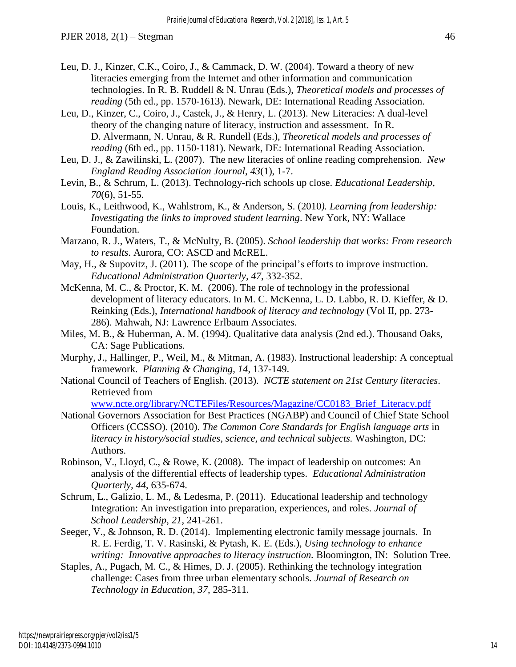- Leu, D. J., Kinzer, C.K., Coiro, J., & Cammack, D. W. (2004). Toward a theory of new literacies emerging from the Internet and other information and communication technologies. In R. B. Ruddell & N. Unrau (Eds.), *Theoretical models and processes of reading* (5th ed., pp. 1570-1613). Newark, DE: International Reading Association.
- Leu, D., Kinzer, C., Coiro, J., Castek, J., & Henry, L. (2013). New Literacies: A dual-level theory of the changing nature of literacy, instruction and assessment. In R. D. Alvermann, N. Unrau, & R. Rundell (Eds.), *Theoretical models and processes of reading* (6th ed., pp. 1150-1181). Newark, DE: International Reading Association.
- Leu, D. J., & Zawilinski, L. (2007). The new literacies of online reading comprehension. *New England Reading Association Journal*, *43*(1), 1-7.
- Levin, B., & Schrum, L. (2013). Technology-rich schools up close. *Educational Leadership*, *70*(6), 51-55.
- Louis, K., Leithwood, K., Wahlstrom, K., & Anderson, S. (2010*). Learning from leadership: Investigating the links to improved student learning*. New York, NY: Wallace Foundation.
- Marzano, R. J., Waters, T., & McNulty, B. (2005). *School leadership that works: From research to results*. Aurora, CO: ASCD and McREL.
- May, H., & Supovitz, J. (2011). The scope of the principal's efforts to improve instruction. *Educational Administration Quarterly, 47*, 332-352.
- McKenna, M. C., & Proctor, K. M. (2006). The role of technology in the professional development of literacy educators. In M. C. McKenna, L. D. Labbo, R. D. Kieffer, & D. Reinking (Eds.), *International handbook of literacy and technology* (Vol II, pp. 273- 286). Mahwah, NJ: Lawrence Erlbaum Associates.
- Miles, M. B., & Huberman, A. M. (1994). Qualitative data analysis (2nd ed.). Thousand Oaks, CA: Sage Publications.
- Murphy, J., Hallinger, P., Weil, M., & Mitman, A. (1983). Instructional leadership: A conceptual framework. *Planning & Changing, 14*, 137-149.
- National Council of Teachers of English. (2013). *NCTE statement on 21st Century literacies*. Retrieved from

[www.ncte.org/library/NCTEFiles/Resources/Magazine/CC0183\\_Brief\\_Literacy.pdf](http://www.ncte.org/library/NCTEFiles/Resources/Magazine/CC0183_Brief_Literacy.pdf)

- National Governors Association for Best Practices (NGABP) and Council of Chief State School Officers (CCSSO). (2010). *The Common Core Standards for English language arts* in *literacy in history/social studies, science, and technical subjects.* Washington, DC: Authors.
- Robinson, V., Lloyd, C., & Rowe, K. (2008). The impact of leadership on outcomes: An analysis of the differential effects of leadership types. *Educational Administration Quarterly, 44*, 635-674.
- Schrum, L., Galizio, L. M., & Ledesma, P. (2011). Educational leadership and technology Integration: An investigation into preparation, experiences, and roles. *Journal of School Leadership*, *21*, 241-261.
- Seeger, V., & Johnson, R. D. (2014). Implementing electronic family message journals. In R. E. Ferdig, T. V. Rasinski, & Pytash, K. E. (Eds.), *Using technology to enhance writing: Innovative approaches to literacy instruction.* Bloomington, IN: Solution Tree.
- Staples, A., Pugach, M. C., & Himes, D. J. (2005). Rethinking the technology integration challenge: Cases from three urban elementary schools. *Journal of Research on Technology in Education*, *37*, 285-311.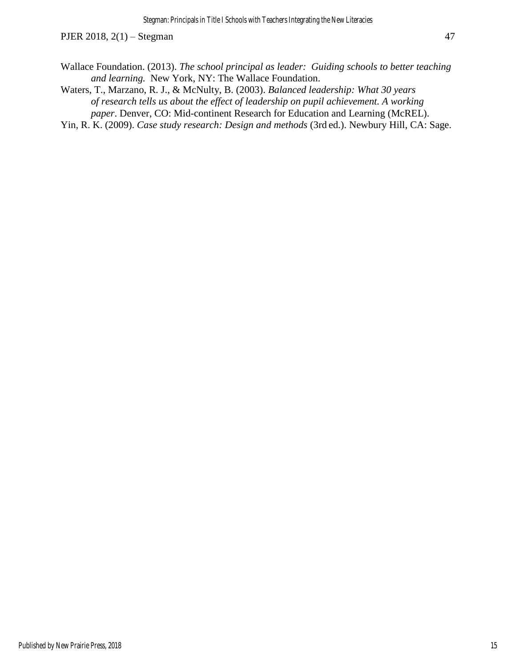- Wallace Foundation. (2013). *The school principal as leader: Guiding schools to better teaching and learning.* New York, NY: The Wallace Foundation.
- Waters, T., Marzano, R. J., & McNulty, B. (2003). *Balanced leadership: What 30 years of research tells us about the effect of leadership on pupil achievement. A working paper*. Denver, CO: Mid-continent Research for Education and Learning (McREL).
- Yin, R. K. (2009). *Case study research: Design and methods* (3rd ed.). Newbury Hill, CA: Sage.